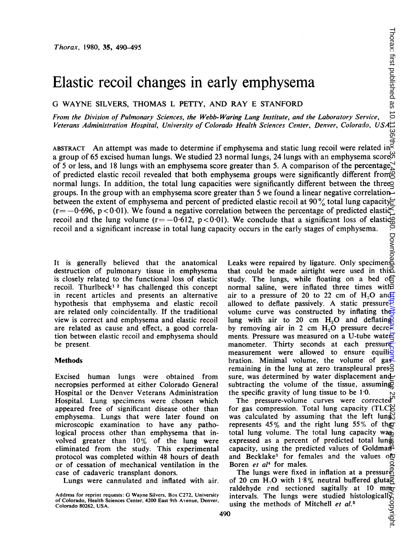# Elastic recoil changes in early emphysema

G WAYNE SILVERS, THOMAS L PETTY, AND RAY E STANFORD

From the Division of Pulmonary Sciences, the Webb- Waring Lung Institute, and the Laboratory Service, Veterans Administration Hospital, University of Colorado Health Sciences Center, Denver, Colorado, USA

ABSTRACT An attempt was made to determine if emphysema and static lung recoil were related in  $\frac{35}{37}$  a group of 65 excised human lungs. We attached 22 a group of 65 excised human lungs. We studied 23 normal lungs, 24 lungs with an emphysema scorem of 5 or less, and 18 lungs with an emphysema score greater than 5. A comparison of the percentage, of predicted elastic recoil revealed that both emphysema groups were significantly different from normal lungs. In addition, the total lung capacities were significantly different between the three groups. In the group with an emphysema score greater than 5 we found a linear negative correlationbetween the extent of emphysema and percent of predicted elastic recoil at 90% total lung capacity  $(r=-0.696, p<0.01)$ . We found a negative correlation between the percentage of predicted elastic recoil and the lung volume (r= $-0.612$ , p<0.01). We conclude that a significant loss of elastic recoil and a significant increase in total lung capacity occurs in the early stages of emphysema.

It is generally believed that the anatomical Leaks were repaired by ligature. Only specimens destruction of pulmonary tissue in emphysema is closely related to the functional loss of elastic recoil. Thurlbeck<sup>12</sup> has challenged this concept in recent articles and presents an alternative hypothesis that emphysema and elastic recoil are related only coincidentally. If the traditional view is correct and emphysema and elastic recoil are related as cause and effect, a good correlation between elastic recoil and emphysema should be present

#### Methods

Excised human lungs were obtained from necropsies performed at either Colorado General Hospital or the Denver Veterans Administration Hospital. Lung specimens were chosen which appeared free of significant disease other than emphysema. Lungs that were later found on microscopic examination to have any pathological process other than emphysema that involved greater than 10% of the lung were eliminated from the study. This experimental protocol was completed within 48 hours of death or of cessation of mechanical ventilation in the case of cadaveric transplant donors.

Lungs were cannulated and inflated with air.

that could be made airtight were used in this study. The lungs, while floating on a bed o信 normal saline, were inflated three times with air to a pressure of 20 to 22 cm of  $H<sub>0</sub>O$  and  $\overline{H}$ allowed to deflate passively. A static pressure $\frac{1}{2}$ volume curve was constructed by inflating the lung with air to 20 cm  $H<sub>2</sub>O$  and deflating by removing air in 2 cm  $H_2O$  pressure decrements. Pressure was measured on a U-tube water manometer. Thirty seconds at each pressure measurement were allowed to ensure equili $\frac{3}{2}$ bration. Minimal volume, the volume of  $\text{gas}^2$ remaining in the lung at zero transpleural pres $\frac{8}{3}$ sure, was determined by water displacement and subtracting the volume of the tissue, assuming the specific gravity of lung tissue to be  $1.0$ .

The pressure-volume curves were corrected<sup>p</sup> for gas compression. Total lung capacity (TLC)S was calculated by assuming that the left lung represents  $45\%$  and the right lung  $55\%$  of the total lung volume. The total lung capacity was expressed as a percent of predicted total lung capacity, using the predicted values of Goldman<sup>2</sup> and Becklake<sup>3</sup> for females and the values ofo Boren et al<sup>4</sup> for males.

The lungs were fixed in inflation at a pressure of 20 cm H<sub>2</sub>O with 1.8% neutral buffered gluta<sup> $\overline{a}$ </sup> raldehyde and sectioned sagitally at 10 mm raldehyde and sectioned sagitally at 10 mm intervals. The lungs were studied histologically using the methods of Mitchell *et al.*<sup>5</sup>

Address for reprint requests: G Wayne Silvers, Box C272, University of Colorado, Health Sciences Center, 4200 East 9th Avenue, Denver, Colorado 80262, USA.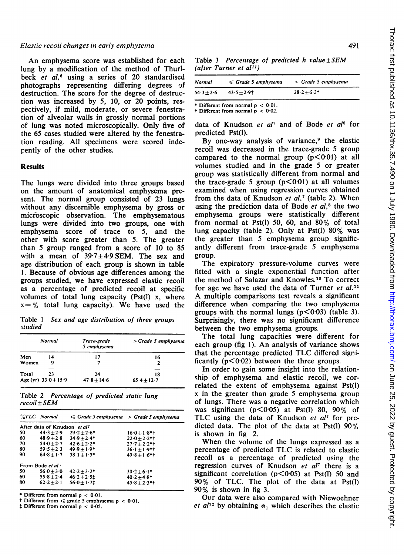#### Elastic recoil changes in early emphvsema

An emphysema score was established for each lung by a modification of the method of Thurlbeck et  $al$ ,<sup>6</sup> using a series of 20 standardised photographs representing differing degrees of destruction. The score for the degree of destruction was increased by 5, 10, or 20 points, respectively, if mild, moderate, or severe fenestration of alveolar walls in grossly normal portions of lung was noted microscopically. Only five of the 65 cases studied were altered by the fenestration reading. All specimens were scored indepently of the other studies.

#### Results

The lungs were divided into three groups based on the amount of anatomical emphysema present. The normal group consisted of 23 lungs without any discernible emphysema by gross or microscopic observation. The emphysematous lungs were divided into two groups, one with emphysema score of trace to 5, and the other with score greater than 5. The greater than 5 group ranged from a score of 10 to 85 with a mean of  $39.7 \pm 4.9$  SEM. The sex and age distribution of each group is shown in table 1. Because of obvious age differences among the groups studied, we have expressed elastic recoil as a percentage of predicted recoil at specific volumes of total lung capacity (Pst(l) x, where  $x = %$  total lung capacity). We have used the

Table <sup>1</sup> Sex and age distribution of three groups studied

|                          | Normal | Trace-grade<br>5 emphysema | > Grade 5 emphysema |
|--------------------------|--------|----------------------------|---------------------|
| Men                      | 14     | 17                         | 16                  |
| Women                    | 9      |                            | 2                   |
|                          |        |                            |                     |
| Total                    | 23     | 24                         | 18                  |
| Age (yr) $33.0 \pm 15.9$ |        | $47.8 + 14.6$              | $65.4 \pm 12.7$     |

Table 2 Percentage of predicted static lung  $recoil  $\pm SEM$$ 

|    | <i><b>XTLC</b></i> Normal    |                             | $\leq$ Grade 5 emphysema $\,$ > Grade 5 emphysema |
|----|------------------------------|-----------------------------|---------------------------------------------------|
|    | After data of Knudson et al? |                             |                                                   |
| 50 | $44.3 + 2.9$                 | $29.2 \pm 2.6^*$            | $16.0 + 1.8$ *1                                   |
| 60 |                              | $48.9 + 2.8$ $34.9 + 2.4$ * | $22.0 + 2.2$ *†                                   |
| 70 | $54.0 + 2.7$                 | $42.6 + 2.2$ *              | $27.7 + 2.2$ **                                   |
| 80 | $59.5 + 2.3$                 | $49.9 + 1.9*$               | $36.1 + 1.9$ *†                                   |
| 90 | $64.8 + 1.7$                 | $581 + 1.5*$                | $49.8 + 1.6$ *†                                   |
|    | From Bode et al              |                             |                                                   |
| 50 | $56.0 + 3.0$                 | $42.2 + 3.2*$               | $38.2 + 6.1*$                                     |
| 60 | $55.8 + 2.4$                 | $46.2 + 2.51$               | $40.2 + 4.8*$                                     |
| 80 | $62.2 + 2.1$                 | $56.0 + 1.71$               | $45.8 + 2.3$ **                                   |

Different from normal  $p < 0.01$ .

Different from  $\le$  grade 5 emphysema p < 0.01.

 $\ddagger$  Different from normal  $p < 0.05$ .

Table 3 Percentage of predicted h value  $\pm$  SEM (after Turner et al<sup>11</sup>)

| Normal         | $\leq$ Grade 5 empliysema | > Grade 5 emphysema |
|----------------|---------------------------|---------------------|
| $54.3 \pm 2.6$ | $43.5 + 2.91$             | $28.2 + 6.3*$       |

\* Different from normal  $p < 0.01$ .

 $\dagger$  Different from normal  $p < 0.02$ .

data of Knudson et  $al^7$  and of Bode et  $al^8$  for predicted Pst(l).

By one-way analysis of variance,<sup>9</sup> the elastic recoil was decreased in the trace-grade 5 group compared to the normal group  $(p<0.01)$  at all volumes studied and in the grade 5 or greater group was statistically different from normal and the trace-grade 5 group  $(p<0.01)$  at all volumes examined when using regression curves obtained from the data of Knudson et  $al$ <sup>7</sup> (table 2). When using the prediction data of Bode  $et$   $al$ ,<sup>8</sup> the two emphysema groups were statistically different from normal at Pst(l) 50, 60, and 80% of total lung capacity (table 2). Only at Pst(l) 80% was the greater than 5 emphysema group significantly different from trace-grade 5 emphysema group.

The expiratory pressure-volume curves were fitted with a single exponential function after the method of Salazar and Knowles.10 To correct for age we have used the data of Turner et  $al$ .<sup>11</sup> A multiple comparisons test reveals <sup>a</sup> significant difference when comparing the two emphysema groups with the normal lungs  $(p<0.03)$  (table 3). Surprisingly, there was no significant difference between the two emphysema groups.

The total lung capacities were different for each group (fig 1). An analysis of variance shows that the percentage predicted TLC differed significantly  $(p<0.02)$  between the three groups.

In order to gain some insight into the relationship of emphysema and elastic recoil, we correlated the extent of emphysema against Pst(l) x in the greater than grade 5 emphysema group of lungs. There was a negative correlation which was significant ( $p < 0.05$ ) at Pst(l) 80, 90% of TLC using the data of Knudson et  $al^7$  for predicted data. The plot of the data at Pst(l) 90% is shown in fig 2.

When the volume of the lungs expressed as <sup>a</sup> percentage of predicted TLC is related to elastic recoil as a percentage of predicted using the regression curves of Knudson et  $al<sup>7</sup>$  there is a significant correlation ( $p < 0.05$ ) at Pst(1) 50 and <sup>90</sup> % of TLC. The plot of the data at Pst(l) 90% is shown in fig 3.

Ouir data were also compared with Niewoehner et  $al^{12}$  by obtaining  $\alpha_1$  which describes the elastic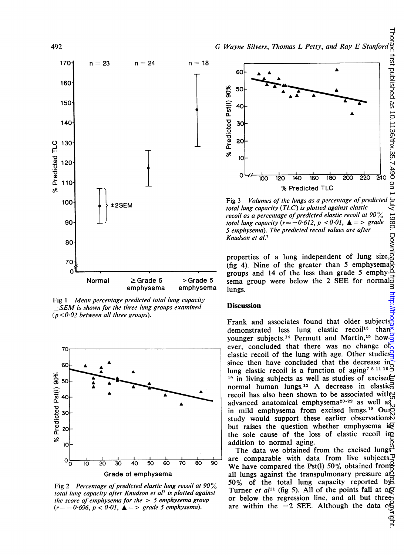



Fig <sup>1</sup> Mean percentage predicted total lung capacity  $+SEM$  is shown for the three lung groups examined  $(p < 0.02$  between all three groups).



Fig 2 Percentage of predicted elastic lung recoil at  $90\%$ total lung capacity after Knudson et al<sup>7</sup> is plotted against the score of emphysema for the  $> 5$  emphysema group  $(r = -0.696, p < 0.01, \triangleq$  = > grade 5 emphysema).



Fig 3 Volumes of the lungs as a percentage of predicted total lung capacity (TLC) is plotted against elastic recoil as a percentage of predicted elastic recoil at 90 $\%$ total lung capacity  $(r = -0.612, p < 0.01, \triangleq 0.5)$ 5 emphysema). The predicted recoil values are after Knudson et al.7

properties of a lung independent of lung size,  $(fig 4)$ . Nine of the greater than 5 emphysema  $\frac{1}{2}$  groups and 14 of the less than grade 5 emphy-<br>Single 5 sema group were below the 2 SEE for normal Normal  $\geq$  Grade 5 > Grade 5 sema group were below the 2 SEE for normal

#### Discussion

Frank and associates found that older subjects. demonstrated less lung elastic recoil<sup>13</sup> than<sup> $\overline{\times}$ </sup> younger subjects.<sup>14</sup> Permutt and Martin,<sup>15</sup> however, concluded that there was no change of elastic recoil of the lung with age. Other studies since then have concluded that the decrease in lung elastic recoil is a function of  $a$ ging<sup>7 8 11 16</sup> <sup>19</sup> in living subjects as well as studies of excised $\equiv$ normal human lungs.<sup>12</sup> A decrease in elastic<sub>o</sub> recoil has also been shown to be associated with  $\mathfrak{D}$ advanced anatomical emphysema<sup>20-22</sup> as well as in mild emphysema from excised lungs.<sup>12</sup> Our study would support these earlier observations but raises the question whether emphysema i $g$ the sole cause of the loss of elastic recoil in addition to normal aging.

The data we obtained from the excised lungs are comparable with data from live subjects. $\overline{P}$ We have compared the Pst(l) 50% obtained from all lungs against the transpulmonary pressure  $a\ddot{\Omega}$ 50% of the total lung capacity reported by Turner et al<sup>11</sup> (fig 5). All of the points fall at  $\log$ or below the regression line, and all but three are within the  $-2$  SEE. Although the data of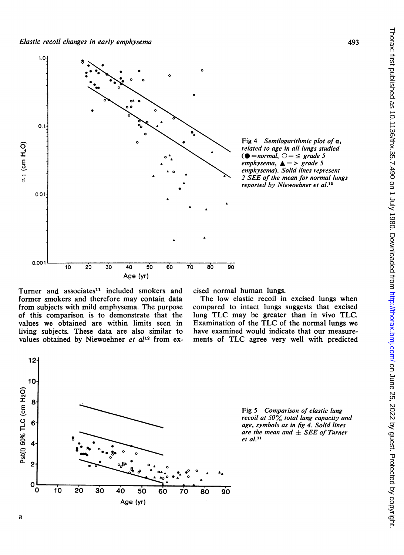

Turner and associates<sup>11</sup> included smokers and former smokers and therefore may contain data from subjects with mild emphysema. The purpose of this comparison is to demonstrate that the values we obtained are within limits seen in living subjects. These data are also similar to values obtained by Niewoehner et  $al^{12}$  from excised normal human lungs.

The low elastic recoil in excised lungs when compared to intact lungs suggests that excised lung TLC may be greater than in vivo TLC. Examination of the TLC of the normal lungs we have examined would indicate that our measurements of TLC agree very well with predicted



Fig 5 Comparison of elastic lung recoil at  $50\frac{6}{6}$  total lung capacity and age, symbols as in fig 4. Solid lines are the mean and  $\pm$  SEE of Turner et al.<sup>11</sup>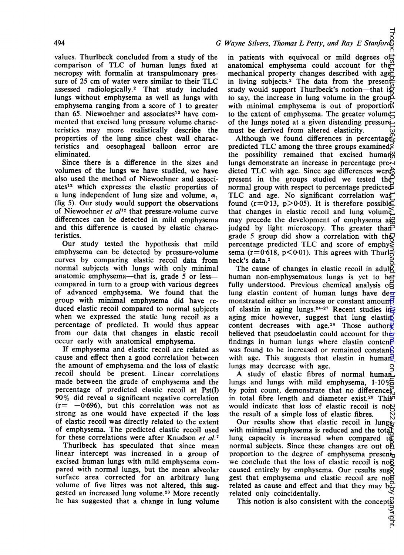## values. Thurlbeck concluded from a study of the comparison of TLC of human lungs fixed at necropsy with formalin at transpulmonary pressure of 25 cm of water were similar to their TLC assessed radiologically.2 That study included lungs without emphysema as well as lungs with emphysema ranging from a score of <sup>1</sup> to greater than 65. Niewoehner and associates'2 have commented that excised lung pressure volume characteristics may more realistically describe the properties of the lung since chest wall characteristics and oesophageal balloon error are eliminated.

Since there is a difference in the sizes and volumes of the lungs we have studied, we have also used the method of Niewoehner and associates'2 which expresses the elastic properties of a lung independent of lung size and volume,  $\alpha_1$ (fig 5). Our study would support the observations of Niewoehner et  $al^{12}$  that pressure-volume curve differences can be detected in mild emphysema and this difference is caused by elastic characteristics.

Our study tested the hypothesis that mild emphysema can be detected by pressure-volume curves by comparing elastic recoil data from normal subjects with lungs with only minimal anatomic emphysema—that is, grade 5 or less compared in turn to a group with various degrees of advanced emphysema. We found that the group with minimal emphysema did have reduced elastic recoil compared to normal subjects when we expressed the static lung recoil as a percentage of predicted. It would thus appear from our data that changes in elastic recoil occur early with anatomical emphysema.

If emphysema and elastic recoil are related as cause and effect then a good correlation between the amount of emphysema and the loss of elastic recoil should be present. Linear correlations made between the grade of emphysema and the percentage of predicted elastic recoil at Pst(l) 90% did reveal a significant negative correlation  $(r=-0.696)$ , but this correlation was not as strong as one would have expected if the loss of elastic recoil was directly related to the extent of emphysema. The predicted elastic recoil used for these correlations were after Knudson et al.<sup>7</sup>

Thurlbeck has speculated that since mean linear intercept was increased in a group of excised human lungs with mild emphysema compared with normal lungs, but the mean alveolar surface area corrected for an arbitrary lung volume of five litres was not altered, this suggested an increased lung volume.23 More recently he has suggested that a change in lung volume

# G Wayne Silvers, Thomas L Petty, and Ray E Stanford

in patients with equivocal or mild degrees ot anatomical emphysema could account for the mechanical property changes described with age in living subjects.<sup>2</sup> The data from the present study would support Thurlbeck's notion-that is to say, the increase in lung volume in the group with minimal emphysema is out of proportion to the extent of emphysema. The greater volume of the lungs noted at a given distending pressuremust be derived from altered elasticity.

Although we found differences in percentages predicted TLC among the three groups examined $\vec{\xi}$ the possibility remained that excised human lungs demonstrate an increase in percentage pre $\sim$ dicted TLC with age. Since age differences were present in the groups studied we tested the normal group with respect to percentage predicted TLC and age. No significant correlation was found ( $r=0.13$ ,  $p>0.05$ ). It is therefore possible that changes in elastic recoil and lung volume, may precede the development of emphysema ase judged by light microscopy. The greater thangrade 5 group did show a correlation with the percentage predicted TLC and score of emphysion sema ( $r=0.618$ ,  $p<0.01$ ). This agrees with Thurl $\approx$ beck's data.<sup>2</sup> on June 25, 2022 by guest. Protected by copyright. <http://thorax.bmj.com/> Thorax: first published as 10.1136/thx.35.7.490 on 1 July 1980. Downloaded from

The cause of changes in elastic recoil in adulg human non-emphysematous lungs is yet to be fully understood. Previous chemical analysis of lung elastin content of human lungs have de $\overline{z}$ monstrated either an increase or constant amount of elastin in aging lungs.<sup>24-27</sup> Recent studies in aging mice however, suggest that lung elasting content decreases with age.<sup>28</sup> Those authors<sup>2</sup> believed that pseudoelastin could account for the findings in human lungs where elastin content. was found to be increased or remained constants with age. This suggests that elastin in human lungs may decrease with age.

A study of elastic fibres of normal human lungs and lungs with mild emphysema,  $1-10\frac{1}{10}$ by point count, demonstrate that no differences in total fibre length and diameter exist.29 This would indicate that loss of elastic recoil is not the result of a simple loss of elastic fibres.

Our results show that elastic recoil in lungs with minimal emphysema is reduced and the total lung capacity is increased when compared  $\overline{t}$ normal subjects. Since these changes are out of proportion to the degree of emphysema present<sub>u</sub> we conclude that the loss of elastic recoil is not caused entirely by emphysema. Our results sug $\overline{2}$ gest that emphysema and elastic recoil are not related as cause and effect and that they may be related only coincidentally.

This notion is also consistent with the concepts<br> $\frac{1}{2}$ <br> $\frac{1}{2}$